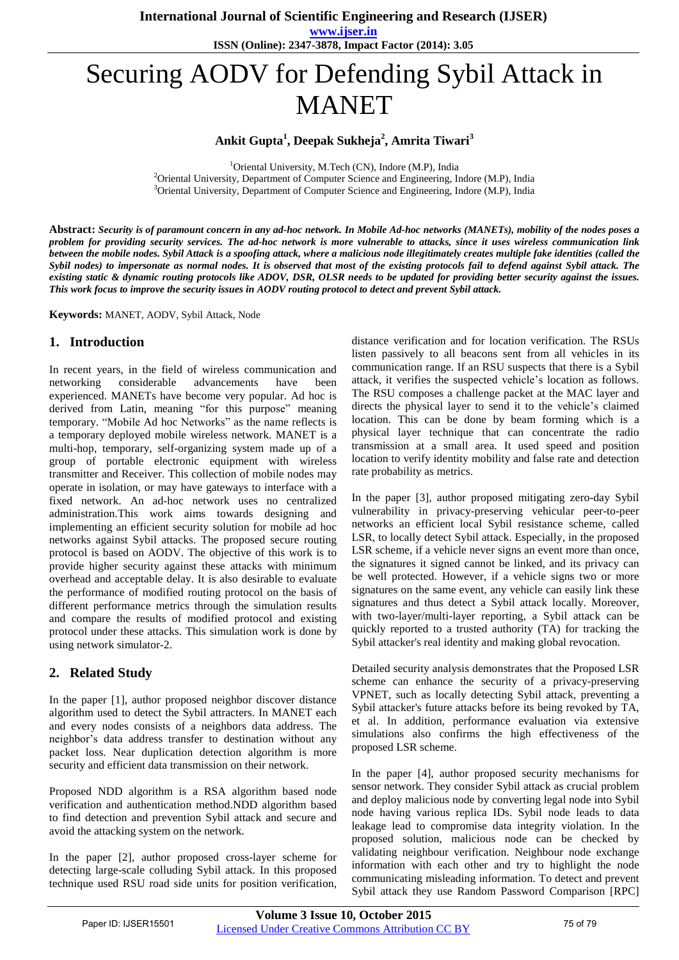**www.ijser.in ISSN (Online): 2347-3878, Impact Factor (2014): 3.05**

# Securing AODV for Defending Sybil Attack in MANET

**Ankit Gupta<sup>1</sup> , Deepak Sukheja<sup>2</sup> , Amrita Tiwari<sup>3</sup>**

<sup>1</sup>Oriental University, M.Tech (CN), Indore (M.P), India

<sup>2</sup> Oriental University, Department of Computer Science and Engineering, Indore (M.P), India <sup>3</sup> Oriental University, Department of Computer Science and Engineering, Indore (M.P), India

**Abstract:** *Security is of paramount concern in any ad-hoc network. In Mobile Ad-hoc networks (MANETs), mobility of the nodes poses a problem for providing security services. The ad-hoc network is more vulnerable to attacks, since it uses wireless communication link between the mobile nodes. Sybil Attack is a spoofing attack, where a malicious node illegitimately creates multiple fake identities (called the Sybil nodes) to impersonate as normal nodes. It is observed that most of the existing protocols fail to defend against Sybil attack. The existing static & dynamic routing protocols like ADOV, DSR, OLSR needs to be updated for providing better security against the issues. This work focus to improve the security issues in AODV routing protocol to detect and prevent Sybil attack.*

**Keywords:** MANET, AODV, Sybil Attack, Node

# **1. Introduction**

In recent years, in the field of wireless communication and networking considerable advancements have been experienced. MANETs have become very popular. Ad hoc is derived from Latin, meaning "for this purpose" meaning temporary. "Mobile Ad hoc Networks" as the name reflects is a temporary deployed mobile wireless network. MANET is a multi-hop, temporary, self-organizing system made up of a group of portable electronic equipment with wireless transmitter and Receiver. This collection of mobile nodes may operate in isolation, or may have gateways to interface with a fixed network. An ad-hoc network uses no centralized administration.This work aims towards designing and implementing an efficient security solution for mobile ad hoc networks against Sybil attacks. The proposed secure routing protocol is based on AODV. The objective of this work is to provide higher security against these attacks with minimum overhead and acceptable delay. It is also desirable to evaluate the performance of modified routing protocol on the basis of different performance metrics through the simulation results and compare the results of modified protocol and existing protocol under these attacks. This simulation work is done by using network simulator-2.

# **2. Related Study**

In the paper [1], author proposed neighbor discover distance algorithm used to detect the Sybil attracters. In MANET each and every nodes consists of a neighbors data address. The neighbor's data address transfer to destination without any packet loss. Near duplication detection algorithm is more security and efficient data transmission on their network.

Proposed NDD algorithm is a RSA algorithm based node verification and authentication method.NDD algorithm based to find detection and prevention Sybil attack and secure and avoid the attacking system on the network.

In the paper [2], author proposed cross-layer scheme for detecting large-scale colluding Sybil attack. In this proposed technique used RSU road side units for position verification, distance verification and for location verification. The RSUs listen passively to all beacons sent from all vehicles in its communication range. If an RSU suspects that there is a Sybil attack, it verifies the suspected vehicle's location as follows. The RSU composes a challenge packet at the MAC layer and directs the physical layer to send it to the vehicle's claimed location. This can be done by beam forming which is a physical layer technique that can concentrate the radio transmission at a small area. It used speed and position location to verify identity mobility and false rate and detection rate probability as metrics.

In the paper [3], author proposed mitigating zero-day Sybil vulnerability in privacy-preserving vehicular peer-to-peer networks an efficient local Sybil resistance scheme, called LSR, to locally detect Sybil attack. Especially, in the proposed LSR scheme, if a vehicle never signs an event more than once, the signatures it signed cannot be linked, and its privacy can be well protected. However, if a vehicle signs two or more signatures on the same event, any vehicle can easily link these signatures and thus detect a Sybil attack locally. Moreover, with two-layer/multi-layer reporting, a Sybil attack can be quickly reported to a trusted authority (TA) for tracking the Sybil attacker's real identity and making global revocation.

Detailed security analysis demonstrates that the Proposed LSR scheme can enhance the security of a privacy-preserving VPNET, such as locally detecting Sybil attack, preventing a Sybil attacker's future attacks before its being revoked by TA, et al. In addition, performance evaluation via extensive simulations also confirms the high effectiveness of the proposed LSR scheme.

In the paper [4], author proposed security mechanisms for sensor network. They consider Sybil attack as crucial problem and deploy malicious node by converting legal node into Sybil node having various replica IDs. Sybil node leads to data leakage lead to compromise data integrity violation. In the proposed solution, malicious node can be checked by validating neighbour verification. Neighbour node exchange information with each other and try to highlight the node communicating misleading information. To detect and prevent Sybil attack they use Random Password Comparison [RPC]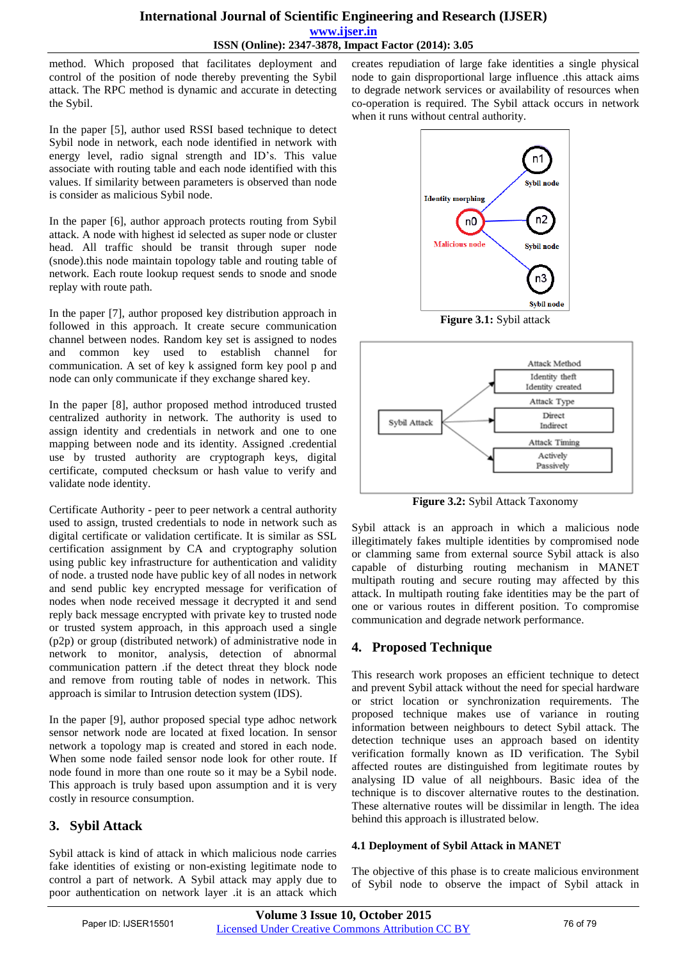## **International Journal of Scientific Engineering and Research (IJSER) www.ijser.in ISSN (Online): 2347-3878, Impact Factor (2014): 3.05**

method. Which proposed that facilitates deployment and control of the position of node thereby preventing the Sybil attack. The RPC method is dynamic and accurate in detecting the Sybil.

In the paper [5], author used RSSI based technique to detect Sybil node in network, each node identified in network with energy level, radio signal strength and ID's. This value associate with routing table and each node identified with this values. If similarity between parameters is observed than node is consider as malicious Sybil node.

In the paper [6], author approach protects routing from Sybil attack. A node with highest id selected as super node or cluster head. All traffic should be transit through super node (snode).this node maintain topology table and routing table of network. Each route lookup request sends to snode and snode replay with route path.

In the paper [7], author proposed key distribution approach in followed in this approach. It create secure communication channel between nodes. Random key set is assigned to nodes and common key used to establish channel for communication. A set of key k assigned form key pool p and node can only communicate if they exchange shared key.

In the paper [8], author proposed method introduced trusted centralized authority in network. The authority is used to assign identity and credentials in network and one to one mapping between node and its identity. Assigned .credential use by trusted authority are cryptograph keys, digital certificate, computed checksum or hash value to verify and validate node identity.

Certificate Authority - peer to peer network a central authority used to assign, trusted credentials to node in network such as digital certificate or validation certificate. It is similar as SSL certification assignment by CA and cryptography solution using public key infrastructure for authentication and validity of node. a trusted node have public key of all nodes in network and send public key encrypted message for verification of nodes when node received message it decrypted it and send reply back message encrypted with private key to trusted node or trusted system approach, in this approach used a single (p2p) or group (distributed network) of administrative node in network to monitor, analysis, detection of abnormal communication pattern .if the detect threat they block node and remove from routing table of nodes in network. This approach is similar to Intrusion detection system (IDS).

In the paper [9], author proposed special type adhoc network sensor network node are located at fixed location. In sensor network a topology map is created and stored in each node. When some node failed sensor node look for other route. If node found in more than one route so it may be a Sybil node. This approach is truly based upon assumption and it is very costly in resource consumption.

# **3. Sybil Attack**

Sybil attack is kind of attack in which malicious node carries fake identities of existing or non-existing legitimate node to control a part of network. A Sybil attack may apply due to poor authentication on network layer .it is an attack which creates repudiation of large fake identities a single physical node to gain disproportional large influence .this attack aims to degrade network services or availability of resources when co-operation is required. The Sybil attack occurs in network when it runs without central authority.



**Figure 3.1:** Sybil attack



**Figure 3.2:** Sybil Attack Taxonomy

Sybil attack is an approach in which a malicious node illegitimately fakes multiple identities by compromised node or clamming same from external source Sybil attack is also capable of disturbing routing mechanism in MANET multipath routing and secure routing may affected by this attack. In multipath routing fake identities may be the part of one or various routes in different position. To compromise communication and degrade network performance.

# **4. Proposed Technique**

This research work proposes an efficient technique to detect and prevent Sybil attack without the need for special hardware or strict location or synchronization requirements. The proposed technique makes use of variance in routing information between neighbours to detect Sybil attack. The detection technique uses an approach based on identity verification formally known as ID verification. The Sybil affected routes are distinguished from legitimate routes by analysing ID value of all neighbours. Basic idea of the technique is to discover alternative routes to the destination. These alternative routes will be dissimilar in length. The idea behind this approach is illustrated below.

## **4.1 Deployment of Sybil Attack in MANET**

The objective of this phase is to create malicious environment of Sybil node to observe the impact of Sybil attack in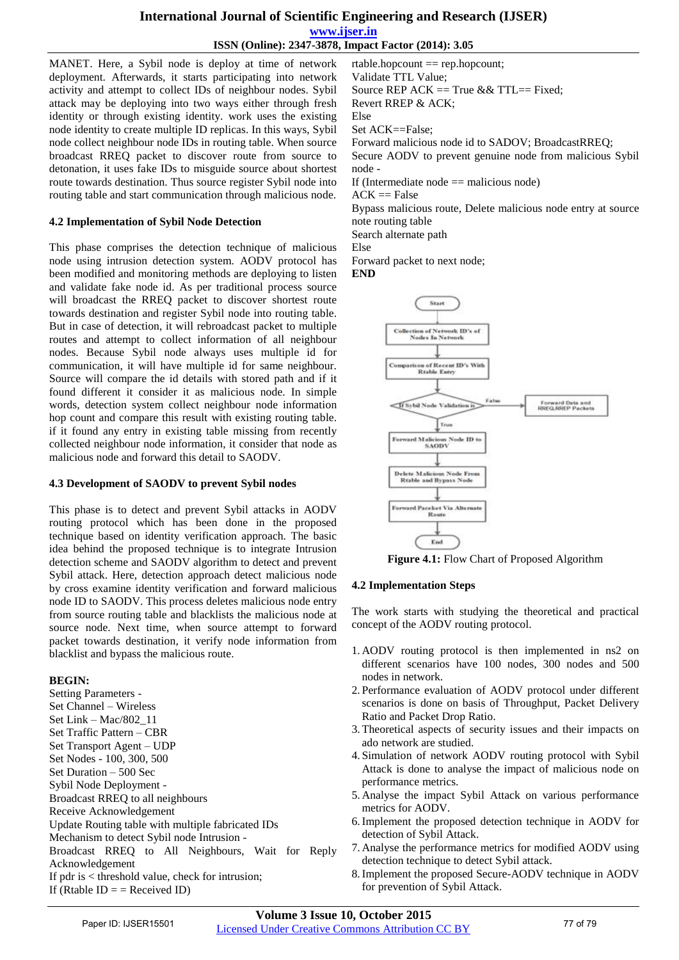#### **International Journal of Scientific Engineering and Research (IJSER) www.ijser.in ISSN (Online): 2347-3878, Impact Factor (2014): 3.05**

MANET. Here, a Sybil node is deploy at time of network deployment. Afterwards, it starts participating into network activity and attempt to collect IDs of neighbour nodes. Sybil attack may be deploying into two ways either through fresh identity or through existing identity. work uses the existing node identity to create multiple ID replicas. In this ways, Sybil node collect neighbour node IDs in routing table. When source broadcast RREQ packet to discover route from source to detonation, it uses fake IDs to misguide source about shortest route towards destination. Thus source register Sybil node into routing table and start communication through malicious node.

#### **4.2 Implementation of Sybil Node Detection**

This phase comprises the detection technique of malicious node using intrusion detection system. AODV protocol has been modified and monitoring methods are deploying to listen and validate fake node id. As per traditional process source will broadcast the RREQ packet to discover shortest route towards destination and register Sybil node into routing table. But in case of detection, it will rebroadcast packet to multiple routes and attempt to collect information of all neighbour nodes. Because Sybil node always uses multiple id for communication, it will have multiple id for same neighbour. Source will compare the id details with stored path and if it found different it consider it as malicious node. In simple words, detection system collect neighbour node information hop count and compare this result with existing routing table. if it found any entry in existing table missing from recently collected neighbour node information, it consider that node as malicious node and forward this detail to SAODV.

#### **4.3 Development of SAODV to prevent Sybil nodes**

This phase is to detect and prevent Sybil attacks in AODV routing protocol which has been done in the proposed technique based on identity verification approach. The basic idea behind the proposed technique is to integrate Intrusion detection scheme and SAODV algorithm to detect and prevent Sybil attack. Here, detection approach detect malicious node by cross examine identity verification and forward malicious node ID to SAODV. This process deletes malicious node entry from source routing table and blacklists the malicious node at source node. Next time, when source attempt to forward packet towards destination, it verify node information from blacklist and bypass the malicious route.

#### **BEGIN:**

Setting Parameters - Set Channel – Wireless Set Link – Mac/802\_11 Set Traffic Pattern – CBR Set Transport Agent – UDP Set Nodes - 100, 300, 500 Set Duration – 500 Sec Sybil Node Deployment - Broadcast RREQ to all neighbours Receive Acknowledgement Update Routing table with multiple fabricated IDs Mechanism to detect Sybil node Intrusion - Broadcast RREQ to All Neighbours, Wait for Reply Acknowledgement If pdr is < threshold value, check for intrusion; If (Rtable  $ID =$  = Received ID)

rtable.hopcount == rep.hopcount; Validate TTL Value; Source REP ACK  $==$  True && TTL $==$  Fixed; Revert RREP & ACK; Else Set ACK==False; Forward malicious node id to SADOV; BroadcastRREQ; Secure AODV to prevent genuine node from malicious Sybil node -

If (Intermediate node  $==$  malicious node)

 $ACK == False$ 

Bypass malicious route, Delete malicious node entry at source note routing table

Search alternate path

Else

Forward packet to next node;

**END** 



**Figure 4.1:** Flow Chart of Proposed Algorithm

#### **4.2 Implementation Steps**

The work starts with studying the theoretical and practical concept of the AODV routing protocol.

- 1. AODV routing protocol is then implemented in ns2 on different scenarios have 100 nodes, 300 nodes and 500 nodes in network.
- 2. Performance evaluation of AODV protocol under different scenarios is done on basis of Throughput, Packet Delivery Ratio and Packet Drop Ratio.
- 3.Theoretical aspects of security issues and their impacts on ado network are studied.
- 4. Simulation of network AODV routing protocol with Sybil Attack is done to analyse the impact of malicious node on performance metrics.
- 5. Analyse the impact Sybil Attack on various performance metrics for AODV.
- 6.Implement the proposed detection technique in AODV for detection of Sybil Attack.
- 7. Analyse the performance metrics for modified AODV using detection technique to detect Sybil attack.
- 8.Implement the proposed Secure-AODV technique in AODV for prevention of Sybil Attack.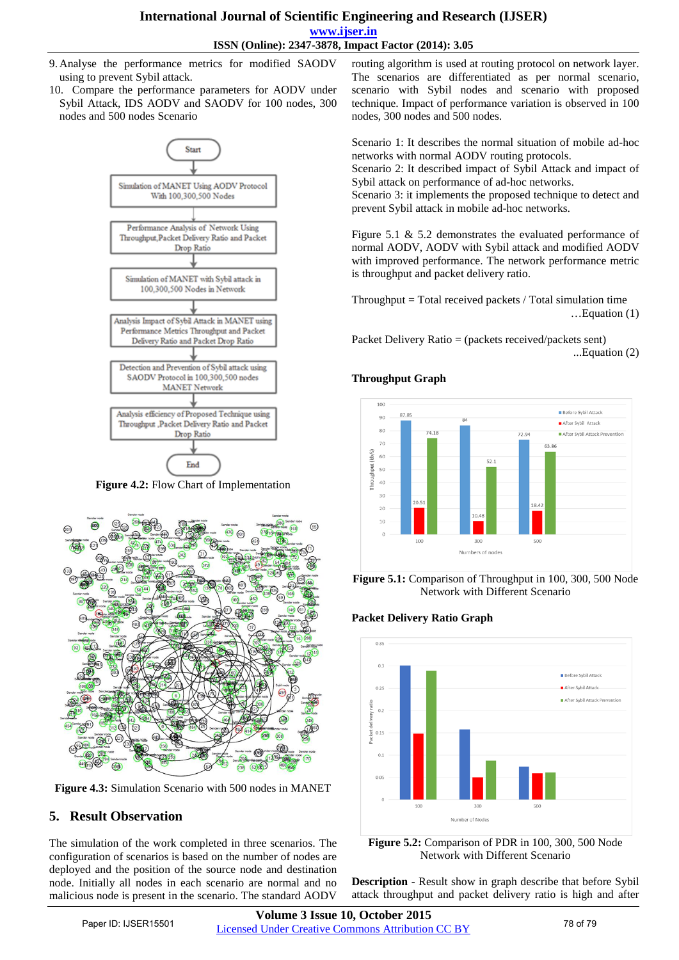#### **International Journal of Scientific Engineering and Research (IJSER) www.ijser.in ISSN (Online): 2347-3878, Impact Factor (2014): 3.05**

- 9. Analyse the performance metrics for modified SAODV using to prevent Sybil attack.
- 10. Compare the performance parameters for AODV under Sybil Attack, IDS AODV and SAODV for 100 nodes, 300 nodes and 500 nodes Scenario



**Figure 4.2:** Flow Chart of Implementation



**Figure 4.3:** Simulation Scenario with 500 nodes in MANET

# **5. Result Observation**

The simulation of the work completed in three scenarios. The configuration of scenarios is based on the number of nodes are deployed and the position of the source node and destination node. Initially all nodes in each scenario are normal and no malicious node is present in the scenario. The standard AODV

routing algorithm is used at routing protocol on network layer. The scenarios are differentiated as per normal scenario, scenario with Sybil nodes and scenario with proposed technique. Impact of performance variation is observed in 100 nodes, 300 nodes and 500 nodes.

Scenario 1: It describes the normal situation of mobile ad-hoc networks with normal AODV routing protocols.

Scenario 2: It described impact of Sybil Attack and impact of Sybil attack on performance of ad-hoc networks.

Scenario 3: it implements the proposed technique to detect and prevent Sybil attack in mobile ad-hoc networks.

Figure 5.1 & 5.2 demonstrates the evaluated performance of normal AODV, AODV with Sybil attack and modified AODV with improved performance. The network performance metric is throughput and packet delivery ratio.

 $Throughout = Total received packets / Total simulation time$ …Equation (1)

Packet Delivery Ratio = (packets received/packets sent) ...Equation (2)

## **Throughput Graph**



**Figure 5.1:** Comparison of Throughput in 100, 300, 500 Node Network with Different Scenario

#### **Packet Delivery Ratio Graph**



**Figure 5.2:** Comparison of PDR in 100, 300, 500 Node Network with Different Scenario

**Description** - Result show in graph describe that before Sybil attack throughput and packet delivery ratio is high and after